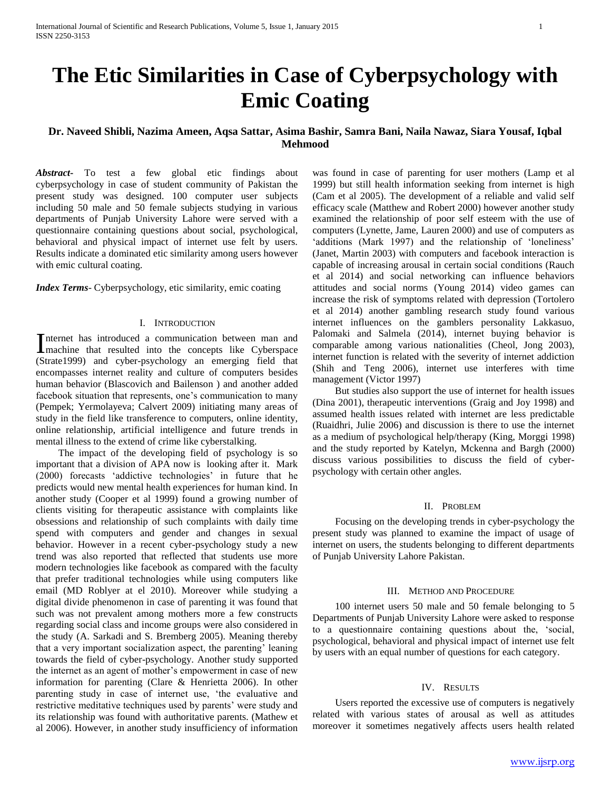# **The Etic Similarities in Case of Cyberpsychology with Emic Coating**

# **Dr. Naveed Shibli, Nazima Ameen, Aqsa Sattar, Asima Bashir, Samra Bani, Naila Nawaz, Siara Yousaf, Iqbal Mehmood**

*Abstract***-** To test a few global etic findings about cyberpsychology in case of student community of Pakistan the present study was designed. 100 computer user subjects including 50 male and 50 female subjects studying in various departments of Punjab University Lahore were served with a questionnaire containing questions about social, psychological, behavioral and physical impact of internet use felt by users. Results indicate a dominated etic similarity among users however with emic cultural coating.

*Index Terms*- Cyberpsychology, etic similarity, emic coating

## I. INTRODUCTION

nternet has introduced a communication between man and Internet has introduced a communication between man and<br>machine that resulted into the concepts like Cyberspace (Strate1999) and cyber-psychology an emerging field that encompasses internet reality and culture of computers besides human behavior (Blascovich and Bailenson ) and another added facebook situation that represents, one's communication to many (Pempek; Yermolayeva; Calvert 2009) initiating many areas of study in the field like transference to computers, online identity, online relationship, artificial intelligence and future trends in mental illness to the extend of crime like cyberstalking.

 The impact of the developing field of psychology is so important that a division of APA now is looking after it. Mark (2000) forecasts ‗addictive technologies' in future that he predicts would new mental health experiences for human kind. In another study (Cooper et al 1999) found a growing number of clients visiting for therapeutic assistance with complaints like obsessions and relationship of such complaints with daily time spend with computers and gender and changes in sexual behavior. However in a recent cyber-psychology study a new trend was also reported that reflected that students use more modern technologies like facebook as compared with the faculty that prefer traditional technologies while using computers like email (MD Roblyer at el 2010). Moreover while studying a digital divide phenomenon in case of parenting it was found that such was not prevalent among mothers more a few constructs regarding social class and income groups were also considered in the study (A. Sarkadi and S. Bremberg 2005). Meaning thereby that a very important socialization aspect, the parenting' leaning towards the field of cyber-psychology. Another study supported the internet as an agent of mother's empowerment in case of new information for parenting (Clare & Henrietta 2006). In other parenting study in case of internet use, 'the evaluative and restrictive meditative techniques used by parents' were study and its relationship was found with authoritative parents. (Mathew et al 2006). However, in another study insufficiency of information

was found in case of parenting for user mothers (Lamp et al 1999) but still health information seeking from internet is high (Cam et al 2005). The development of a reliable and valid self efficacy scale (Matthew and Robert 2000) however another study examined the relationship of poor self esteem with the use of computers (Lynette, Jame, Lauren 2000) and use of computers as ‗additions (Mark 1997) and the relationship of ‗loneliness' (Janet, Martin 2003) with computers and facebook interaction is capable of increasing arousal in certain social conditions (Rauch et al 2014) and social networking can influence behaviors attitudes and social norms (Young 2014) video games can increase the risk of symptoms related with depression (Tortolero et al 2014) another gambling research study found various internet influences on the gamblers personality Lakkasuo, Palomaki and Salmela (2014), internet buying behavior is comparable among various nationalities (Cheol, Jong 2003), internet function is related with the severity of internet addiction (Shih and Teng 2006), internet use interferes with time management (Victor 1997)

 But studies also support the use of internet for health issues (Dina 2001), therapeutic interventions (Graig and Joy 1998) and assumed health issues related with internet are less predictable (Ruaidhri, Julie 2006) and discussion is there to use the internet as a medium of psychological help/therapy (King, Morggi 1998) and the study reported by Katelyn, Mckenna and Bargh (2000) discuss various possibilities to discuss the field of cyberpsychology with certain other angles.

#### II. PROBLEM

 Focusing on the developing trends in cyber-psychology the present study was planned to examine the impact of usage of internet on users, the students belonging to different departments of Punjab University Lahore Pakistan.

#### III. METHOD AND PROCEDURE

 100 internet users 50 male and 50 female belonging to 5 Departments of Punjab University Lahore were asked to response to a questionnaire containing questions about the, ‗social, psychological, behavioral and physical impact of internet use felt by users with an equal number of questions for each category.

## IV. RESULTS

 Users reported the excessive use of computers is negatively related with various states of arousal as well as attitudes moreover it sometimes negatively affects users health related